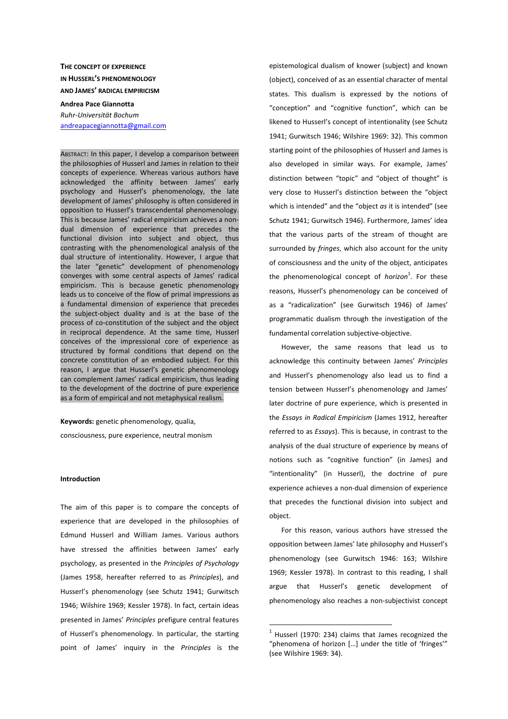# **THE CONCEPT OF EXPERIENCE IN HUSSERL'S PHENOMENOLOGY AND JAMES' RADICAL EMPIRICISM**

**Andrea Pace Giannotta**  *Ruhr-Universität Bochum*  andreapacegiannotta@gmail.com

ABSTRACT: In this paper, I develop a comparison between the philosophies of Husserl and James in relation to their concepts of experience. Whereas various authors have acknowledged the affinity between James' early psychology and Husserl's phenomenology, the late development of James' philosophy is often considered in opposition to Husserl's transcendental phenomenology. This is because James' radical empiricism achieves a nondual dimension of experience that precedes the functional division into subject and object, thus contrasting with the phenomenological analysis of the dual structure of intentionality. However, I argue that the later "genetic" development of phenomenology converges with some central aspects of James' radical empiricism. This is because genetic phenomenology leads us to conceive of the flow of primal impressions as a fundamental dimension of experience that precedes the subject-object duality and is at the base of the process of co-constitution of the subject and the object in reciprocal dependence. At the same time, Husserl conceives of the impressional core of experience as structured by formal conditions that depend on the concrete constitution of an embodied subject. For this reason, I argue that Husserl's genetic phenomenology can complement James' radical empiricism, thus leading to the development of the doctrine of pure experience as a form of empirical and not metaphysical realism.

**Keywords:** genetic phenomenology, qualia, consciousness, pure experience, neutral monism

#### **Introduction**

The aim of this paper is to compare the concepts of experience that are developed in the philosophies of Edmund Husserl and William James. Various authors have stressed the affinities between James' early psychology, as presented in the *Principles of Psychology*  (James 1958, hereafter referred to as *Principles*), and Husserl's phenomenology (see Schutz 1941; Gurwitsch 1946; Wilshire 1969; Kessler 1978). In fact, certain ideas presented in James' *Principles* prefigure central features of Husserl's phenomenology. In particular, the starting point of James' inquiry in the *Principles* is the epistemological dualism of knower (subject) and known (object), conceived of as an essential character of mental states. This dualism is expressed by the notions of "conception" and "cognitive function", which can be likened to Husserl's concept of intentionality (see Schutz 1941; Gurwitsch 1946; Wilshire 1969: 32). This common starting point of the philosophies of Husserl and James is also developed in similar ways. For example, James' distinction between "topic" and "object of thought" is very close to Husserl's distinction between the "object which is intended" and the "object *as* it is intended" (see Schutz 1941; Gurwitsch 1946). Furthermore, James' idea that the various parts of the stream of thought are surrounded by *fringes*, which also account for the unity of consciousness and the unity of the object, anticipates the phenomenological concept of *horizon*<sup>1</sup>. For these reasons, Husserl's phenomenology can be conceived of as a "radicalization" (see Gurwitsch 1946) of James' programmatic dualism through the investigation of the fundamental correlation subjective-objective.

However, the same reasons that lead us to acknowledge this continuity between James' *Principles*  and Husserl's phenomenology also lead us to find a tension between Husserl's phenomenology and James' later doctrine of pure experience, which is presented in the *Essays in Radical Empiricism* (James 1912, hereafter referred to as *Essays*). This is because, in contrast to the analysis of the dual structure of experience by means of notions such as "cognitive function" (in James) and "intentionality" (in Husserl), the doctrine of pure experience achieves a non-dual dimension of experience that precedes the functional division into subject and object.

For this reason, various authors have stressed the opposition between James' late philosophy and Husserl's phenomenology (see Gurwitsch 1946: 163; Wilshire 1969; Kessler 1978). In contrast to this reading, I shall argue that Husserl's genetic development of phenomenology also reaches a non-subjectivist concept

 $1$  Husserl (1970: 234) claims that James recognized the "phenomena of horizon […] under the title of 'fringes'" (see Wilshire 1969: 34).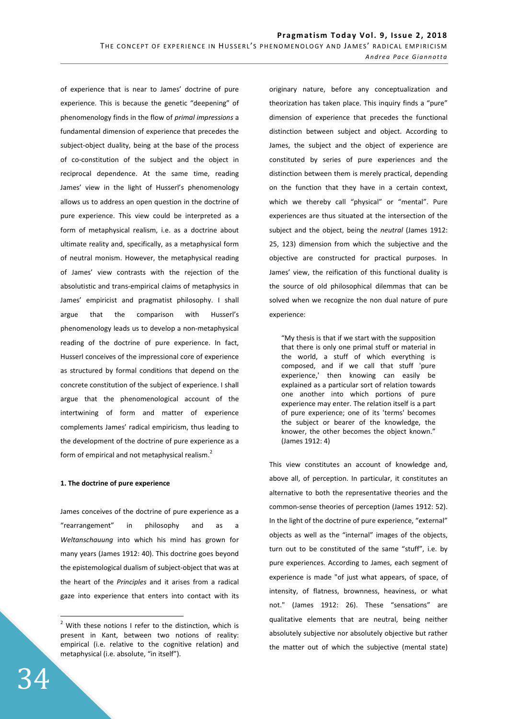of experience that is near to James' doctrine of pure experience. This is because the genetic "deepening" of phenomenology finds in the flow of *primal impressions* a fundamental dimension of experience that precedes the subject-object duality, being at the base of the process of co-constitution of the subject and the object in reciprocal dependence. At the same time, reading James' view in the light of Husserl's phenomenology allows us to address an open question in the doctrine of pure experience. This view could be interpreted as a form of metaphysical realism, i.e. as a doctrine about ultimate reality and, specifically, as a metaphysical form of neutral monism. However, the metaphysical reading of James' view contrasts with the rejection of the absolutistic and trans-empirical claims of metaphysics in James' empiricist and pragmatist philosophy. I shall argue that the comparison with Husserl's phenomenology leads us to develop a non-metaphysical reading of the doctrine of pure experience. In fact, Husserl conceives of the impressional core of experience as structured by formal conditions that depend on the concrete constitution of the subject of experience. I shall argue that the phenomenological account of the intertwining of form and matter of experience complements James' radical empiricism, thus leading to the development of the doctrine of pure experience as a form of empirical and not metaphysical realism.<sup>2</sup>

## **1. The doctrine of pure experience**

James conceives of the doctrine of pure experience as a "rearrangement" in philosophy and as a *Weltanschauung* into which his mind has grown for many years (James 1912: 40). This doctrine goes beyond the epistemological dualism of subject-object that was at the heart of the *Principles* and it arises from a radical gaze into experience that enters into contact with its originary nature, before any conceptualization and theorization has taken place. This inquiry finds a "pure" dimension of experience that precedes the functional distinction between subject and object. According to James, the subject and the object of experience are constituted by series of pure experiences and the distinction between them is merely practical, depending on the function that they have in a certain context, which we thereby call "physical" or "mental". Pure experiences are thus situated at the intersection of the subject and the object, being the *neutral* (James 1912: 25, 123) dimension from which the subjective and the objective are constructed for practical purposes. In James' view, the reification of this functional duality is the source of old philosophical dilemmas that can be solved when we recognize the non dual nature of pure experience:

"My thesis is that if we start with the supposition that there is only one primal stuff or material in the world, a stuff of which everything is composed, and if we call that stuff 'pure experience,' then knowing can easily be explained as a particular sort of relation towards one another into which portions of pure experience may enter. The relation itself is a part of pure experience; one of its 'terms' becomes the subject or bearer of the knowledge, the knower, the other becomes the object known." (James 1912: 4)

This view constitutes an account of knowledge and, above all, of perception. In particular, it constitutes an alternative to both the representative theories and the common-sense theories of perception (James 1912: 52). In the light of the doctrine of pure experience, "external" objects as well as the "internal" images of the objects, turn out to be constituted of the same "stuff", i.e. by pure experiences. According to James, each segment of experience is made "of just what appears, of space, of intensity, of flatness, brownness, heaviness, or what not." (James 1912: 26). These "sensations" are qualitative elements that are neutral, being neither absolutely subjective nor absolutely objective but rather the matter out of which the subjective (mental state)

 $2$  With these notions I refer to the distinction, which is present in Kant, between two notions of reality: empirical (i.e. relative to the cognitive relation) and metaphysical (i.e. absolute, "in itself").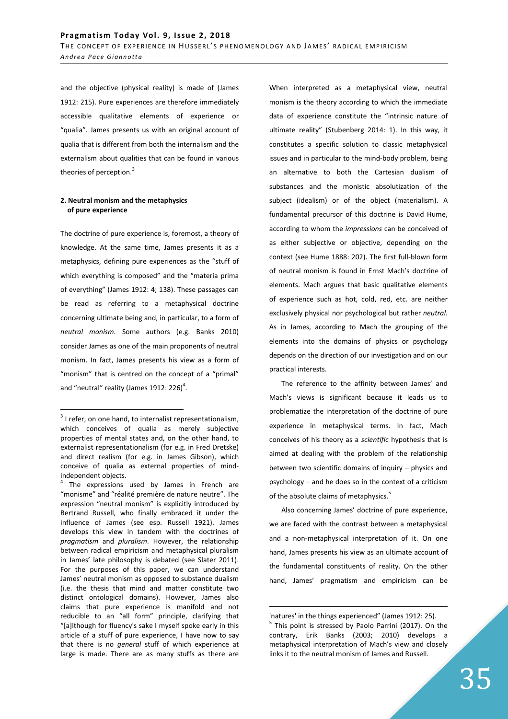and the objective (physical reality) is made of (James 1912: 215). Pure experiences are therefore immediately accessible qualitative elements of experience or "qualia". James presents us with an original account of qualia that is different from both the internalism and the externalism about qualities that can be found in various theories of perception.<sup>3</sup>

## **2. Neutral monism and the metaphysics of pure experience**

The doctrine of pure experience is, foremost, a theory of knowledge. At the same time, James presents it as a metaphysics, defining pure experiences as the "stuff of which everything is composed" and the "materia prima of everything" (James 1912: 4; 138). These passages can be read as referring to a metaphysical doctrine concerning ultimate being and, in particular, to a form of *neutral monism*. Some authors (e.g. Banks 2010) consider James as one of the main proponents of neutral monism. In fact, James presents his view as a form of "monism" that is centred on the concept of a "primal" and "neutral" reality (James 1912: 226) $<sup>4</sup>$ .</sup>

When interpreted as a metaphysical view, neutral monism is the theory according to which the immediate data of experience constitute the "intrinsic nature of ultimate reality" (Stubenberg 2014: 1). In this way, it constitutes a specific solution to classic metaphysical issues and in particular to the mind-body problem, being an alternative to both the Cartesian dualism of substances and the monistic absolutization of the subject (idealism) or of the object (materialism). A fundamental precursor of this doctrine is David Hume, according to whom the *impressions* can be conceived of as either subjective or objective, depending on the context (see Hume 1888: 202). The first full-blown form of neutral monism is found in Ernst Mach's doctrine of elements. Mach argues that basic qualitative elements of experience such as hot, cold, red, etc. are neither exclusively physical nor psychological but rather *neutral*. As in James, according to Mach the grouping of the elements into the domains of physics or psychology depends on the direction of our investigation and on our practical interests.

The reference to the affinity between James' and Mach's views is significant because it leads us to problematize the interpretation of the doctrine of pure experience in metaphysical terms. In fact, Mach conceives of his theory as a *scientific* hypothesis that is aimed at dealing with the problem of the relationship between two scientific domains of inquiry – physics and psychology – and he does so in the context of a criticism of the absolute claims of metaphysics.<sup>5</sup>

Also concerning James' doctrine of pure experience, we are faced with the contrast between a metaphysical and a non-metaphysical interpretation of it. On one hand, James presents his view as an ultimate account of the fundamental constituents of reality. On the other hand, James' pragmatism and empiricism can be

 $\overline{a}$  $3$  I refer, on one hand, to internalist representationalism, which conceives of qualia as merely subjective properties of mental states and, on the other hand, to externalist representationalism (for e.g. in Fred Dretske) and direct realism (for e.g. in James Gibson), which conceive of qualia as external properties of mindindependent objects.

<sup>4</sup> The expressions used by James in French are "monisme" and "réalité première de nature neutre". The expression "neutral monism" is explicitly introduced by Bertrand Russell, who finally embraced it under the influence of James (see esp. Russell 1921). James develops this view in tandem with the doctrines of *pragmatism* and *pluralism*. However, the relationship between radical empiricism and metaphysical pluralism in James' late philosophy is debated (see Slater 2011). For the purposes of this paper, we can understand James' neutral monism as opposed to substance dualism (i.e. the thesis that mind and matter constitute two distinct ontological domains). However, James also claims that pure experience is manifold and not reducible to an "all form" principle, clarifying that "[a]lthough for fluency's sake I myself spoke early in this article of a stuff of pure experience, I have now to say that there is no *general* stuff of which experience at large is made. There are as many stuffs as there are

<sup>&#</sup>x27;natures' in the things experienced" (James 1912: 25). <sup>5</sup> This point is stressed by Paolo Parrini (2017). On the contrary, Erik Banks (2003; 2010) develops a metaphysical interpretation of Mach's view and closely links it to the neutral monism of James and Russell.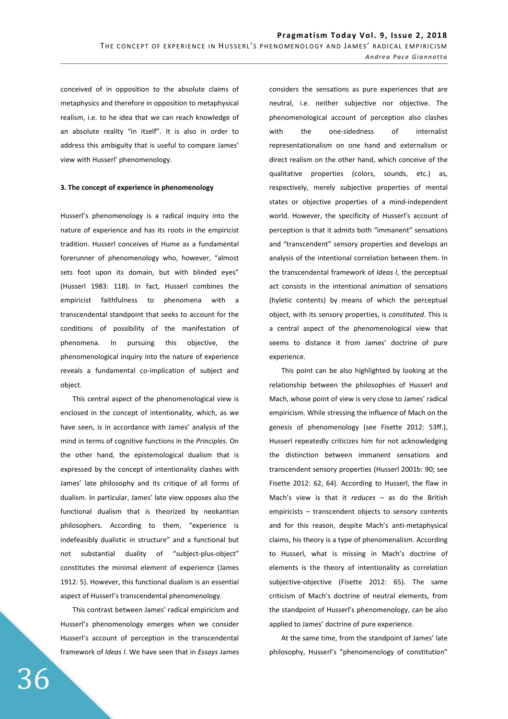conceived of in opposition to the absolute claims of metaphysics and therefore in opposition to metaphysical realism, i.e. to he idea that we can reach knowledge of an absolute reality "in itself". It is also in order to address this ambiguity that is useful to compare James' view with Husserl' phenomenology.

#### **3. The concept of experience in phenomenology**

Husserl's phenomenology is a radical inquiry into the nature of experience and has its roots in the empiricist tradition. Husserl conceives of Hume as a fundamental forerunner of phenomenology who, however, "almost sets foot upon its domain, but with blinded eyes" (Husserl 1983: 118). In fact, Husserl combines the empiricist faithfulness to phenomena with a transcendental standpoint that seeks to account for the conditions of possibility of the manifestation of phenomena. In pursuing this objective, the phenomenological inquiry into the nature of experience reveals a fundamental co-implication of subject and object.

This central aspect of the phenomenological view is enclosed in the concept of intentionality, which, as we have seen, is in accordance with James' analysis of the mind in terms of cognitive functions in the *Principles*. On the other hand, the epistemological dualism that is expressed by the concept of intentionality clashes with James' late philosophy and its critique of all forms of dualism. In particular, James' late view opposes also the functional dualism that is theorized by neokantian philosophers. According to them, "experience is indefeasibly dualistic in structure" and a functional but not substantial duality of "subject-plus-object" constitutes the minimal element of experience (James 1912: 5). However, this functional dualism is an essential aspect of Husserl's transcendental phenomenology.

This contrast between James' radical empiricism and Husserl's phenomenology emerges when we consider Husserl's account of perception in the transcendental framework of *Ideas I*. We have seen that in *Essays* James

36

considers the sensations as pure experiences that are neutral, i.e. neither subjective nor objective. The phenomenological account of perception also clashes with the one-sidedness of internalist representationalism on one hand and externalism or direct realism on the other hand, which conceive of the qualitative properties (colors, sounds, etc.) as, respectively, merely subjective properties of mental states or objective properties of a mind-independent world. However, the specificity of Husserl's account of perception is that it admits both "immanent" sensations and "transcendent" sensory properties and develops an analysis of the intentional correlation between them. In the transcendental framework of *Ideas I*, the perceptual act consists in the intentional animation of sensations (hyletic contents) by means of which the perceptual object, with its sensory properties, is *constituted*. This is a central aspect of the phenomenological view that seems to distance it from James' doctrine of pure experience.

This point can be also highlighted by looking at the relationship between the philosophies of Husserl and Mach, whose point of view is very close to James' radical empiricism. While stressing the influence of Mach on the genesis of phenomenology (see Fisette 2012: 53ff.), Husserl repeatedly criticizes him for not acknowledging the distinction between immanent sensations and transcendent sensory properties (Husserl 2001b: 90; see Fisette 2012: 62, 64). According to Husserl, the flaw in Mach's view is that it *reduces* – as do the British empiricists – transcendent objects to sensory contents and for this reason, despite Mach's anti-metaphysical claims, his theory is a type of phenomenalism. According to Husserl, what is missing in Mach's doctrine of elements is the theory of intentionality as correlation subjective-objective (Fisette 2012: 65). The same criticism of Mach's doctrine of neutral elements, from the standpoint of Husserl's phenomenology, can be also applied to James' doctrine of pure experience.

At the same time, from the standpoint of James' late philosophy, Husserl's "phenomenology of constitution"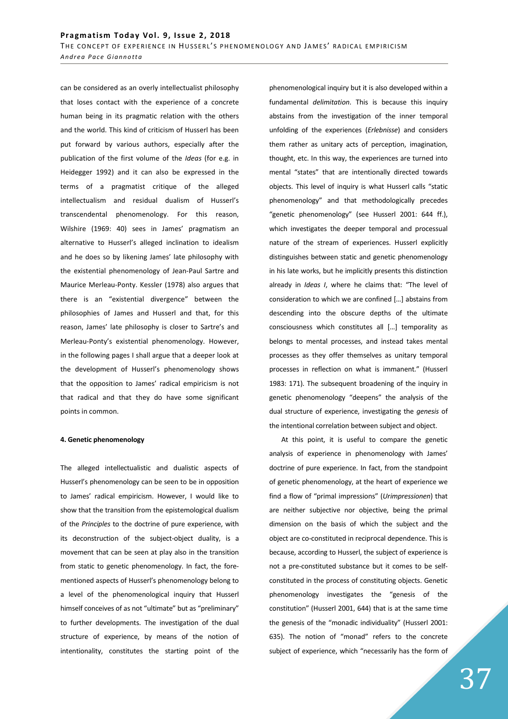can be considered as an overly intellectualist philosophy that loses contact with the experience of a concrete human being in its pragmatic relation with the others and the world. This kind of criticism of Husserl has been put forward by various authors, especially after the publication of the first volume of the *Ideas* (for e.g. in Heidegger 1992) and it can also be expressed in the terms of a pragmatist critique of the alleged intellectualism and residual dualism of Husserl's transcendental phenomenology. For this reason, Wilshire (1969: 40) sees in James' pragmatism an alternative to Husserl's alleged inclination to idealism and he does so by likening James' late philosophy with the existential phenomenology of Jean-Paul Sartre and Maurice Merleau-Ponty. Kessler (1978) also argues that there is an "existential divergence" between the philosophies of James and Husserl and that, for this reason, James' late philosophy is closer to Sartre's and Merleau-Ponty's existential phenomenology. However, in the following pages I shall argue that a deeper look at the development of Husserl's phenomenology shows that the opposition to James' radical empiricism is not that radical and that they do have some significant points in common.

### **4. Genetic phenomenology**

The alleged intellectualistic and dualistic aspects of Husserl's phenomenology can be seen to be in opposition to James' radical empiricism. However, I would like to show that the transition from the epistemological dualism of the *Principles* to the doctrine of pure experience, with its deconstruction of the subject-object duality, is a movement that can be seen at play also in the transition from static to genetic phenomenology. In fact, the forementioned aspects of Husserl's phenomenology belong to a level of the phenomenological inquiry that Husserl himself conceives of as not "ultimate" but as "preliminary" to further developments. The investigation of the dual structure of experience, by means of the notion of intentionality, constitutes the starting point of the phenomenological inquiry but it is also developed within a fundamental *delimitation*. This is because this inquiry abstains from the investigation of the inner temporal unfolding of the experiences (*Erlebnisse*) and considers them rather as unitary acts of perception, imagination, thought, etc. In this way, the experiences are turned into mental "states" that are intentionally directed towards objects. This level of inquiry is what Husserl calls "static phenomenology" and that methodologically precedes "genetic phenomenology" (see Husserl 2001: 644 ff.), which investigates the deeper temporal and processual nature of the stream of experiences. Husserl explicitly distinguishes between static and genetic phenomenology in his late works, but he implicitly presents this distinction already in *Ideas I*, where he claims that: "The level of consideration to which we are confined […] abstains from descending into the obscure depths of the ultimate consciousness which constitutes all […] temporality as belongs to mental processes, and instead takes mental processes as they offer themselves as unitary temporal processes in reflection on what is immanent." (Husserl 1983: 171). The subsequent broadening of the inquiry in genetic phenomenology "deepens" the analysis of the dual structure of experience, investigating the *genesis* of the intentional correlation between subject and object.

At this point, it is useful to compare the genetic analysis of experience in phenomenology with James' doctrine of pure experience. In fact, from the standpoint of genetic phenomenology, at the heart of experience we find a flow of "primal impressions" (*Urimpressionen*) that are neither subjective nor objective, being the primal dimension on the basis of which the subject and the object are co-constituted in reciprocal dependence. This is because, according to Husserl, the subject of experience is not a pre-constituted substance but it comes to be selfconstituted in the process of constituting objects. Genetic phenomenology investigates the "genesis of the constitution" (Husserl 2001, 644) that is at the same time the genesis of the "monadic individuality" (Husserl 2001: 635). The notion of "monad" refers to the concrete subject of experience, which "necessarily has the form of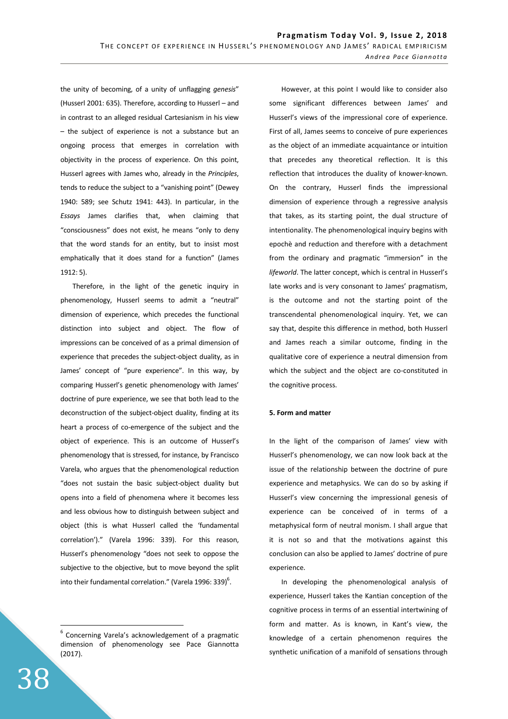the unity of becoming, of a unity of unflagging *genesis*" (Husserl 2001: 635). Therefore, according to Husserl – and in contrast to an alleged residual Cartesianism in his view – the subject of experience is not a substance but an ongoing process that emerges in correlation with objectivity in the process of experience. On this point, Husserl agrees with James who, already in the *Principles*, tends to reduce the subject to a "vanishing point" (Dewey 1940: 589; see Schutz 1941: 443). In particular, in the *Essays* James clarifies that, when claiming that "consciousness" does not exist, he means "only to deny that the word stands for an entity, but to insist most emphatically that it does stand for a function" (James 1912: 5).

Therefore, in the light of the genetic inquiry in phenomenology, Husserl seems to admit a "neutral" dimension of experience, which precedes the functional distinction into subject and object. The flow of impressions can be conceived of as a primal dimension of experience that precedes the subject-object duality, as in James' concept of "pure experience". In this way, by comparing Husserl's genetic phenomenology with James' doctrine of pure experience, we see that both lead to the deconstruction of the subject-object duality, finding at its heart a process of co-emergence of the subject and the object of experience. This is an outcome of Husserl's phenomenology that is stressed, for instance, by Francisco Varela, who argues that the phenomenological reduction "does not sustain the basic subject-object duality but opens into a field of phenomena where it becomes less and less obvious how to distinguish between subject and object (this is what Husserl called the 'fundamental correlation')." (Varela 1996: 339). For this reason, Husserl's phenomenology "does not seek to oppose the subjective to the objective, but to move beyond the split into their fundamental correlation." (Varela 1996: 339) $^6$ .

However, at this point I would like to consider also some significant differences between James' and Husserl's views of the impressional core of experience. First of all, James seems to conceive of pure experiences as the object of an immediate acquaintance or intuition that precedes any theoretical reflection. It is this reflection that introduces the duality of knower-known. On the contrary, Husserl finds the impressional dimension of experience through a regressive analysis that takes, as its starting point, the dual structure of intentionality. The phenomenological inquiry begins with epochè and reduction and therefore with a detachment from the ordinary and pragmatic "immersion" in the *lifeworld*. The latter concept, which is central in Husserl's late works and is very consonant to James' pragmatism, is the outcome and not the starting point of the transcendental phenomenological inquiry. Yet, we can say that, despite this difference in method, both Husserl and James reach a similar outcome, finding in the qualitative core of experience a neutral dimension from which the subject and the object are co-constituted in the cognitive process.

## **5. Form and matter**

In the light of the comparison of James' view with Husserl's phenomenology, we can now look back at the issue of the relationship between the doctrine of pure experience and metaphysics. We can do so by asking if Husserl's view concerning the impressional genesis of experience can be conceived of in terms of a metaphysical form of neutral monism. I shall argue that it is not so and that the motivations against this conclusion can also be applied to James' doctrine of pure experience.

In developing the phenomenological analysis of experience, Husserl takes the Kantian conception of the cognitive process in terms of an essential intertwining of form and matter. As is known, in Kant's view, the knowledge of a certain phenomenon requires the synthetic unification of a manifold of sensations through

 $6$  Concerning Varela's acknowledgement of a pragmatic dimension of phenomenology see Pace Giannotta (2017).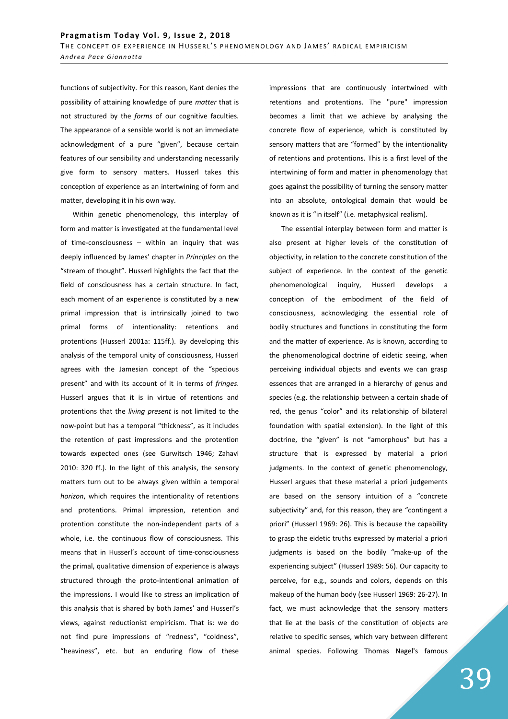functions of subjectivity. For this reason, Kant denies the possibility of attaining knowledge of pure *matter* that is not structured by the *forms* of our cognitive faculties. The appearance of a sensible world is not an immediate acknowledgment of a pure "given", because certain features of our sensibility and understanding necessarily give form to sensory matters. Husserl takes this conception of experience as an intertwining of form and matter, developing it in his own way.

Within genetic phenomenology, this interplay of form and matter is investigated at the fundamental level of time-consciousness – within an inquiry that was deeply influenced by James' chapter in *Principles* on the "stream of thought". Husserl highlights the fact that the field of consciousness has a certain structure. In fact, each moment of an experience is constituted by a new primal impression that is intrinsically joined to two primal forms of intentionality: retentions and protentions (Husserl 2001a: 115ff.). By developing this analysis of the temporal unity of consciousness, Husserl agrees with the Jamesian concept of the "specious present" and with its account of it in terms of *fringes*. Husserl argues that it is in virtue of retentions and protentions that the *living present* is not limited to the now-point but has a temporal "thickness", as it includes the retention of past impressions and the protention towards expected ones (see Gurwitsch 1946; Zahavi 2010: 320 ff.). In the light of this analysis, the sensory matters turn out to be always given within a temporal *horizon*, which requires the intentionality of retentions and protentions. Primal impression, retention and protention constitute the non-independent parts of a whole, i.e. the continuous flow of consciousness. This means that in Husserl's account of time-consciousness the primal, qualitative dimension of experience is always structured through the proto-intentional animation of the impressions. I would like to stress an implication of this analysis that is shared by both James' and Husserl's views, against reductionist empiricism. That is: we do not find pure impressions of "redness", "coldness", "heaviness", etc. but an enduring flow of these

impressions that are continuously intertwined with retentions and protentions. The "pure" impression becomes a limit that we achieve by analysing the concrete flow of experience, which is constituted by sensory matters that are "formed" by the intentionality of retentions and protentions. This is a first level of the intertwining of form and matter in phenomenology that goes against the possibility of turning the sensory matter into an absolute, ontological domain that would be known as it is "in itself" (i.e. metaphysical realism).

The essential interplay between form and matter is also present at higher levels of the constitution of objectivity, in relation to the concrete constitution of the subject of experience. In the context of the genetic phenomenological inquiry, Husserl develops a conception of the embodiment of the field of consciousness, acknowledging the essential role of bodily structures and functions in constituting the form and the matter of experience. As is known, according to the phenomenological doctrine of eidetic seeing, when perceiving individual objects and events we can grasp essences that are arranged in a hierarchy of genus and species (e.g. the relationship between a certain shade of red, the genus "color" and its relationship of bilateral foundation with spatial extension). In the light of this doctrine, the "given" is not "amorphous" but has a structure that is expressed by material a priori judgments. In the context of genetic phenomenology, Husserl argues that these material a priori judgements are based on the sensory intuition of a "concrete subjectivity" and, for this reason, they are "contingent a priori" (Husserl 1969: 26). This is because the capability to grasp the eidetic truths expressed by material a priori judgments is based on the bodily "make-up of the experiencing subject" (Husserl 1989: 56). Our capacity to perceive, for e.g., sounds and colors, depends on this makeup of the human body (see Husserl 1969: 26-27). In fact, we must acknowledge that the sensory matters that lie at the basis of the constitution of objects are relative to specific senses, which vary between different animal species. Following Thomas Nagel's famous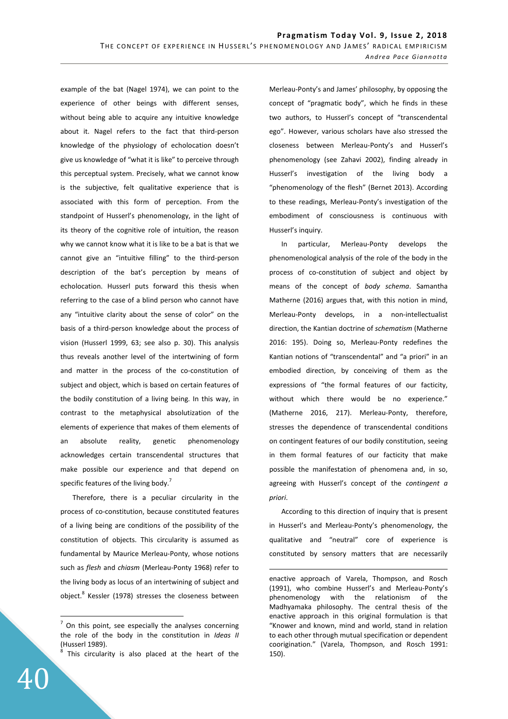example of the bat (Nagel 1974), we can point to the experience of other beings with different senses, without being able to acquire any intuitive knowledge about it. Nagel refers to the fact that third-person knowledge of the physiology of echolocation doesn't give us knowledge of "what it is like" to perceive through this perceptual system. Precisely, what we cannot know is the subjective, felt qualitative experience that is associated with this form of perception. From the standpoint of Husserl's phenomenology, in the light of its theory of the cognitive role of intuition, the reason why we cannot know what it is like to be a bat is that we cannot give an "intuitive filling" to the third-person description of the bat's perception by means of echolocation. Husserl puts forward this thesis when referring to the case of a blind person who cannot have any "intuitive clarity about the sense of color" on the basis of a third-person knowledge about the process of vision (Husserl 1999, 63; see also p. 30). This analysis thus reveals another level of the intertwining of form and matter in the process of the co-constitution of subject and object, which is based on certain features of the bodily constitution of a living being. In this way, in contrast to the metaphysical absolutization of the elements of experience that makes of them elements of an absolute reality, genetic phenomenology acknowledges certain transcendental structures that make possible our experience and that depend on specific features of the living body.<sup>7</sup>

Therefore, there is a peculiar circularity in the process of co-constitution, because constituted features of a living being are conditions of the possibility of the constitution of objects. This circularity is assumed as fundamental by Maurice Merleau-Ponty, whose notions such as *flesh* and *chiasm* (Merleau-Ponty 1968) refer to the living body as locus of an intertwining of subject and object.<sup>8</sup> Kessler (1978) stresses the closeness between Merleau-Ponty's and James' philosophy, by opposing the concept of "pragmatic body", which he finds in these two authors, to Husserl's concept of "transcendental ego". However, various scholars have also stressed the closeness between Merleau-Ponty's and Husserl's phenomenology (see Zahavi 2002), finding already in Husserl's investigation of the living body a "phenomenology of the flesh" (Bernet 2013). According to these readings, Merleau-Ponty's investigation of the embodiment of consciousness is continuous with Husserl's inquiry.

In particular, Merleau-Ponty develops the phenomenological analysis of the role of the body in the process of co-constitution of subject and object by means of the concept of *body schema*. Samantha Matherne (2016) argues that, with this notion in mind, Merleau-Ponty develops, in a non-intellectualist direction, the Kantian doctrine of *schematism* (Matherne 2016: 195). Doing so, Merleau-Ponty redefines the Kantian notions of "transcendental" and "a priori" in an embodied direction, by conceiving of them as the expressions of "the formal features of our facticity, without which there would be no experience." (Matherne 2016, 217). Merleau-Ponty, therefore, stresses the dependence of transcendental conditions on contingent features of our bodily constitution, seeing in them formal features of our facticity that make possible the manifestation of phenomena and, in so, agreeing with Husserl's concept of the *contingent a priori*.

According to this direction of inquiry that is present in Husserl's and Merleau-Ponty's phenomenology, the qualitative and "neutral" core of experience is constituted by sensory matters that are necessarily

 $\overline{a}$ 

 $<sup>7</sup>$  On this point, see especially the analyses concerning</sup> the role of the body in the constitution in *Ideas II* (Husserl 1989). 8

This circularity is also placed at the heart of the

enactive approach of Varela, Thompson, and Rosch (1991), who combine Husserl's and Merleau-Ponty's phenomenology with the relationism of the Madhyamaka philosophy. The central thesis of the enactive approach in this original formulation is that "Knower and known, mind and world, stand in relation to each other through mutual specification or dependent coorigination." (Varela, Thompson, and Rosch 1991: 150).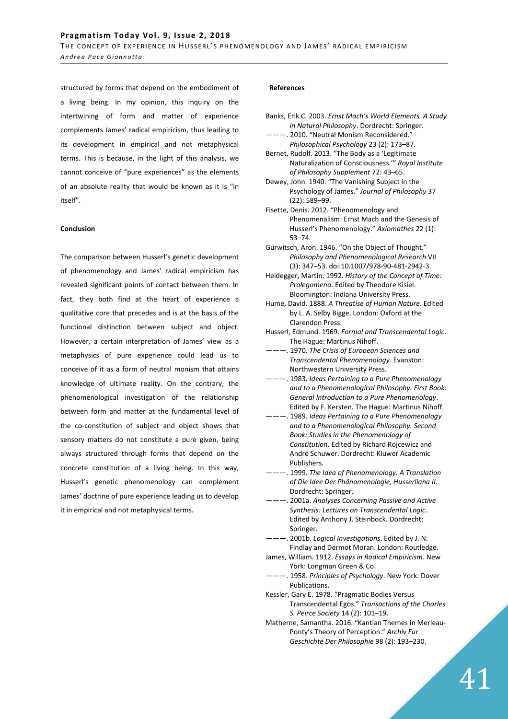structured by forms that depend on the embodiment of a living being. In my opinion, this inquiry on the intertwining of form and matter of experience complements James' radical empiricism, thus leading to its development in empirical and not metaphysical terms. This is because, in the light of this analysis, we cannot conceive of "pure experiences" as the elements of an absolute reality that would be known as it is "in itself".

### **Conclusion**

The comparison between Husserl's genetic development of phenomenology and James' radical empiricism has revealed significant points of contact between them. In fact, they both find at the heart of experience a qualitative core that precedes and is at the basis of the functional distinction between subject and object. However, a certain interpretation of James' view as a metaphysics of pure experience could lead us to conceive of it as a form of neutral monism that attains knowledge of ultimate reality. On the contrary, the phenomenological investigation of the relationship between form and matter at the fundamental level of the co-constitution of subject and object shows that sensory matters do not constitute a pure given, being always structured through forms that depend on the concrete constitution of a living being. In this way, Husserl's genetic phenomenology can complement James' doctrine of pure experience leading us to develop it in empirical and not metaphysical terms.

### **References**

- Banks, Erik C. 2003. *Ernst Mach's World Elements. A Study in Natural Philosophy*. Dordrecht: Springer. ———. 2010. "Neutral Monism Reconsidered."
- *Philosophical Psychology* 23 (2): 173–87. Bernet, Rudolf. 2013. "The Body as a 'Legitimate
- Naturalization of Consciousness.'" *Royal Institute of Philosophy Supplement* 72: 43–65.
- Dewey, John. 1940. "The Vanishing Subject in the Psychology of James." *Journal of Philosophy* 37 (22): 589–99.
- Fisette, Denis. 2012. "Phenomenology and Phenomenalism: Ernst Mach and the Genesis of Husserl's Phenomenology." *Axiomathes* 22 (1): 53–74.
- Gurwitsch, Aron. 1946. "On the Object of Thought." *Philosophy and Phenomenological Research* VII (3): 347–53. doi:10.1007/978-90-481-2942-3.
- Heidegger, Martin. 1992. *History of the Concept of Time: Prolegomena*. Edited by Theodore Kisiel. Bloomington: Indiana University Press.
- Hume, David. 1888. *A Threatise of Human Nature*. Edited by L. A. Selby Bigge. London: Oxford at the Clarendon Press.
- Husserl, Edmund. 1969. *Formal and Transcendental Logic*. The Hague: Martinus Nihoff.
- ———. 1970. *The Crisis of European Sciences and Transcendental Phenomenology*. Evanston: Northwestern University Press.
- ———. 1983. *Ideas Pertaining to a Pure Phenomenology and to a Phenomenological Philosophy. First Book: General Introduction to a Pure Phenomenology*. Edited by F. Kersten. The Hague: Martinus Nihoff.
- ———. 1989. *Ideas Pertaining to a Pure Phenomenology and to a Phenomenological Philosophy. Second Book: Studies in the Phenomenology of Constitution*. Edited by Richard Rojcewicz and André Schuwer. Dordrecht: Kluwer Academic Publishers.
- ———. 1999. *The Idea of Phenomenology. A Translation of Die Idee Der Phänomenologie, Husserliana II*. Dordrecht: Springer.
- ———. 2001a. *Analyses Concerning Passive and Active Synthesis: Lectures on Transcendental Logic*. Edited by Anthony J. Steinbock. Dordrecht: Springer.
- ———. 2001b. *Logical Investigations*. Edited by J. N. Findlay and Dermot Moran. London: Routledge.
- James, William. 1912. *Essays in Radical Empiricism*. New York: Longman Green & Co.
- ———. 1958. *Principles of Psychology*. New York: Dover Publications.
- Kessler, Gary E. 1978. "Pragmatic Bodies Versus Transcendental Egos." *Transactions of the Charles S. Peirce Society* 14 (2): 101–19.
- Matherne, Samantha. 2016. "Kantian Themes in Merleau-Ponty's Theory of Perception." *Archiv Fur Geschichte Der Philosophie* 98 (2): 193–230.